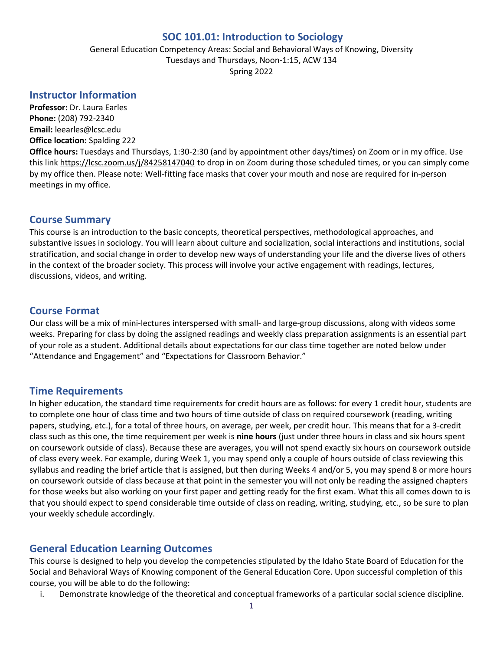### **SOC 101.01: Introduction to Sociology**

General Education Competency Areas: Social and Behavioral Ways of Knowing, Diversity Tuesdays and Thursdays, Noon-1:15, ACW 134 Spring 2022

### **Instructor Information**

**Professor:** Dr. Laura Earles **Phone:** (208) 792-2340 **Email:** leearles@lcsc.edu **Office location:** Spalding 222

**Office hours:** Tuesdays and Thursdays, 1:30-2:30 (and by appointment other days/times) on Zoom or in my office. Use this link<https://lcsc.zoom.us/j/84258147040> to drop in on Zoom during those scheduled times, or you can simply come by my office then. Please note: Well-fitting face masks that cover your mouth and nose are required for in-person meetings in my office.

## **Course Summary**

This course is an introduction to the basic concepts, theoretical perspectives, methodological approaches, and substantive issues in sociology. You will learn about culture and socialization, social interactions and institutions, social stratification, and social change in order to develop new ways of understanding your life and the diverse lives of others in the context of the broader society. This process will involve your active engagement with readings, lectures, discussions, videos, and writing.

## **Course Format**

Our class will be a mix of mini-lectures interspersed with small- and large-group discussions, along with videos some weeks. Preparing for class by doing the assigned readings and weekly class preparation assignments is an essential part of your role as a student. Additional details about expectations for our class time together are noted below under "Attendance and Engagement" and "Expectations for Classroom Behavior."

### **Time Requirements**

In higher education, the standard time requirements for credit hours are as follows: for every 1 credit hour, students are to complete one hour of class time and two hours of time outside of class on required coursework (reading, writing papers, studying, etc.), for a total of three hours, on average, per week, per credit hour. This means that for a 3-credit class such as this one, the time requirement per week is **nine hours** (just under three hours in class and six hours spent on coursework outside of class). Because these are averages, you will not spend exactly six hours on coursework outside of class every week. For example, during Week 1, you may spend only a couple of hours outside of class reviewing this syllabus and reading the brief article that is assigned, but then during Weeks 4 and/or 5, you may spend 8 or more hours on coursework outside of class because at that point in the semester you will not only be reading the assigned chapters for those weeks but also working on your first paper and getting ready for the first exam. What this all comes down to is that you should expect to spend considerable time outside of class on reading, writing, studying, etc., so be sure to plan your weekly schedule accordingly.

# **General Education Learning Outcomes**

This course is designed to help you develop the competencies stipulated by the Idaho State Board of Education for the Social and Behavioral Ways of Knowing component of the General Education Core. Upon successful completion of this course, you will be able to do the following:

i. Demonstrate knowledge of the theoretical and conceptual frameworks of a particular social science discipline.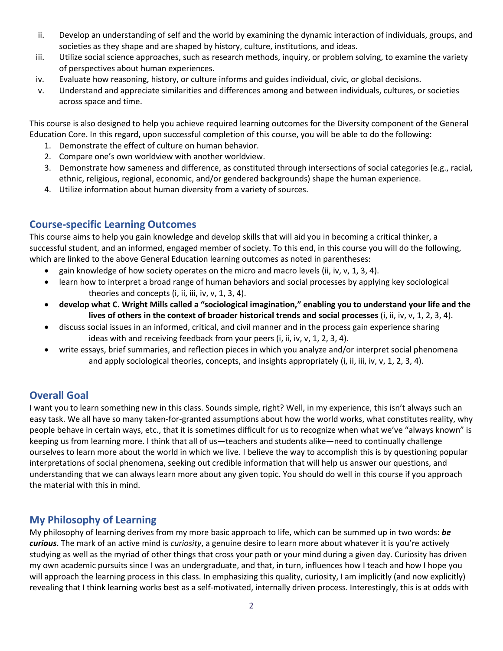- ii. Develop an understanding of self and the world by examining the dynamic interaction of individuals, groups, and societies as they shape and are shaped by history, culture, institutions, and ideas.
- iii. Utilize social science approaches, such as research methods, inquiry, or problem solving, to examine the variety of perspectives about human experiences.
- iv. Evaluate how reasoning, history, or culture informs and guides individual, civic, or global decisions.
- v. Understand and appreciate similarities and differences among and between individuals, cultures, or societies across space and time.

This course is also designed to help you achieve required learning outcomes for the Diversity component of the General Education Core. In this regard, upon successful completion of this course, you will be able to do the following:

- 1. Demonstrate the effect of culture on human behavior.
- 2. Compare one's own worldview with another worldview.
- 3. Demonstrate how sameness and difference, as constituted through intersections of social categories (e.g., racial, ethnic, religious, regional, economic, and/or gendered backgrounds) shape the human experience.
- 4. Utilize information about human diversity from a variety of sources.

# **Course-specific Learning Outcomes**

This course aims to help you gain knowledge and develop skills that will aid you in becoming a critical thinker, a successful student, and an informed, engaged member of society. To this end, in this course you will do the following, which are linked to the above General Education learning outcomes as noted in parentheses:

- gain knowledge of how society operates on the micro and macro levels (ii, iv, v, 1, 3, 4).
- learn how to interpret a broad range of human behaviors and social processes by applying key sociological theories and concepts (i, ii, iii, iv, v, 1, 3, 4).
- **develop what C. Wright Mills called a "sociological imagination," enabling you to understand your life and the lives of others in the context of broader historical trends and social processes** (i, ii, iv, v, 1, 2, 3, 4).
- discuss social issues in an informed, critical, and civil manner and in the process gain experience sharing ideas with and receiving feedback from your peers (i, ii, iv, v, 1, 2, 3, 4).
- write essays, brief summaries, and reflection pieces in which you analyze and/or interpret social phenomena and apply sociological theories, concepts, and insights appropriately (i, ii, iii, iv, v, 1, 2, 3, 4).

# **Overall Goal**

I want you to learn something new in this class. Sounds simple, right? Well, in my experience, this isn't always such an easy task. We all have so many taken-for-granted assumptions about how the world works, what constitutes reality, why people behave in certain ways, etc., that it is sometimes difficult for us to recognize when what we've "always known" is keeping us from learning more. I think that all of us—teachers and students alike—need to continually challenge ourselves to learn more about the world in which we live. I believe the way to accomplish this is by questioning popular interpretations of social phenomena, seeking out credible information that will help us answer our questions, and understanding that we can always learn more about any given topic. You should do well in this course if you approach the material with this in mind.

# **My Philosophy of Learning**

My philosophy of learning derives from my more basic approach to life, which can be summed up in two words: *be curious*. The mark of an active mind is *curiosity*, a genuine desire to learn more about whatever it is you're actively studying as well as the myriad of other things that cross your path or your mind during a given day. Curiosity has driven my own academic pursuits since I was an undergraduate, and that, in turn, influences how I teach and how I hope you will approach the learning process in this class. In emphasizing this quality, curiosity, I am implicitly (and now explicitly) revealing that I think learning works best as a self-motivated, internally driven process. Interestingly, this is at odds with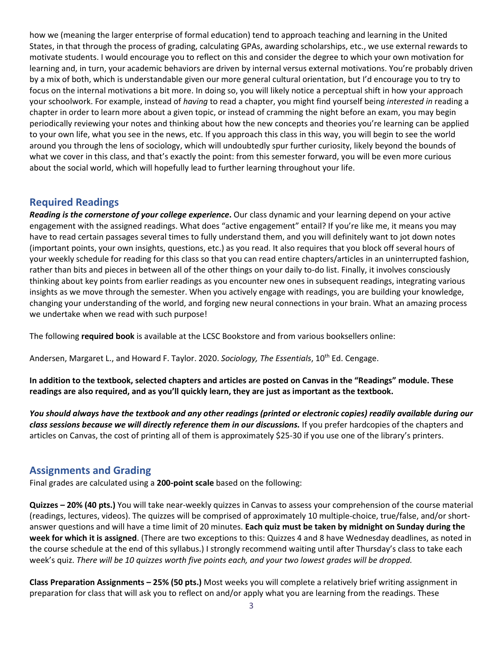how we (meaning the larger enterprise of formal education) tend to approach teaching and learning in the United States, in that through the process of grading, calculating GPAs, awarding scholarships, etc., we use external rewards to motivate students. I would encourage you to reflect on this and consider the degree to which your own motivation for learning and, in turn, your academic behaviors are driven by internal versus external motivations. You're probably driven by a mix of both, which is understandable given our more general cultural orientation, but I'd encourage you to try to focus on the internal motivations a bit more. In doing so, you will likely notice a perceptual shift in how your approach your schoolwork. For example, instead of *having* to read a chapter, you might find yourself being *interested in* reading a chapter in order to learn more about a given topic, or instead of cramming the night before an exam, you may begin periodically reviewing your notes and thinking about how the new concepts and theories you're learning can be applied to your own life, what you see in the news, etc. If you approach this class in this way, you will begin to see the world around you through the lens of sociology, which will undoubtedly spur further curiosity, likely beyond the bounds of what we cover in this class, and that's exactly the point: from this semester forward, you will be even more curious about the social world, which will hopefully lead to further learning throughout your life.

## **Required Readings**

*Reading is the cornerstone of your college experience***.** Our class dynamic and your learning depend on your active engagement with the assigned readings. What does "active engagement" entail? If you're like me, it means you may have to read certain passages several times to fully understand them, and you will definitely want to jot down notes (important points, your own insights, questions, etc.) as you read. It also requires that you block off several hours of your weekly schedule for reading for this class so that you can read entire chapters/articles in an uninterrupted fashion, rather than bits and pieces in between all of the other things on your daily to-do list. Finally, it involves consciously thinking about key points from earlier readings as you encounter new ones in subsequent readings, integrating various insights as we move through the semester. When you actively engage with readings, you are building your knowledge, changing your understanding of the world, and forging new neural connections in your brain. What an amazing process we undertake when we read with such purpose!

The following **required book** is available at the LCSC Bookstore and from various booksellers online:

Andersen, Margaret L., and Howard F. Taylor. 2020. *Sociology, The Essentials*, 10th Ed. Cengage.

**In addition to the textbook, selected chapters and articles are posted on Canvas in the "Readings" module. These readings are also required, and as you'll quickly learn, they are just as important as the textbook.** 

*You should always have the textbook and any other readings (printed or electronic copies) readily available during our class sessions because we will directly reference them in our discussions.* If you prefer hardcopies of the chapters and articles on Canvas, the cost of printing all of them is approximately \$25-30 if you use one of the library's printers.

### **Assignments and Grading**

Final grades are calculated using a **200-point scale** based on the following:

**Quizzes – 20% (40 pts.)** You will take near-weekly quizzes in Canvas to assess your comprehension of the course material (readings, lectures, videos). The quizzes will be comprised of approximately 10 multiple-choice, true/false, and/or shortanswer questions and will have a time limit of 20 minutes. **Each quiz must be taken by midnight on Sunday during the week for which it is assigned**. (There are two exceptions to this: Quizzes 4 and 8 have Wednesday deadlines, as noted in the course schedule at the end of this syllabus.) I strongly recommend waiting until after Thursday's class to take each week's quiz. *There will be 10 quizzes worth five points each, and your two lowest grades will be dropped.*

**Class Preparation Assignments – 25% (50 pts.)** Most weeks you will complete a relatively brief writing assignment in preparation for class that will ask you to reflect on and/or apply what you are learning from the readings. These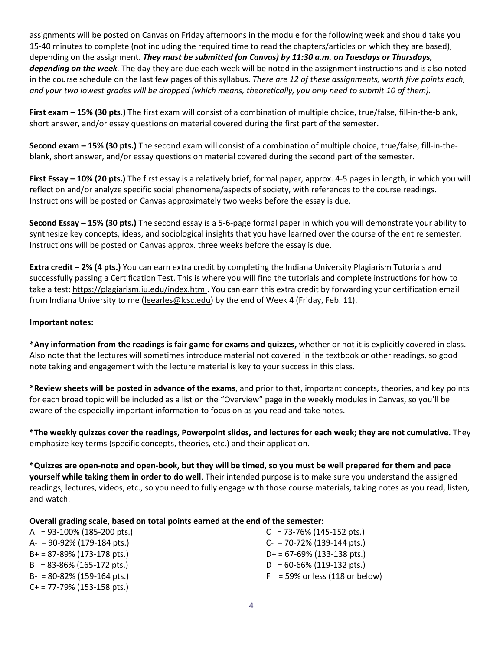assignments will be posted on Canvas on Friday afternoons in the module for the following week and should take you 15-40 minutes to complete (not including the required time to read the chapters/articles on which they are based), depending on the assignment. *They must be submitted (on Canvas) by 11:30 a.m. on Tuesdays or Thursdays, depending on the week.* The day they are due each week will be noted in the assignment instructions and is also noted in the course schedule on the last few pages of this syllabus. *There are 12 of these assignments, worth five points each, and your two lowest grades will be dropped (which means, theoretically, you only need to submit 10 of them).* 

**First exam – 15% (30 pts.)** The first exam will consist of a combination of multiple choice, true/false, fill-in-the-blank, short answer, and/or essay questions on material covered during the first part of the semester.

**Second exam – 15% (30 pts.)** The second exam will consist of a combination of multiple choice, true/false, fill-in-theblank, short answer, and/or essay questions on material covered during the second part of the semester.

**First Essay – 10% (20 pts.)** The first essay is a relatively brief, formal paper, approx. 4-5 pages in length, in which you will reflect on and/or analyze specific social phenomena/aspects of society, with references to the course readings. Instructions will be posted on Canvas approximately two weeks before the essay is due.

**Second Essay – 15% (30 pts.)** The second essay is a 5-6-page formal paper in which you will demonstrate your ability to synthesize key concepts, ideas, and sociological insights that you have learned over the course of the entire semester. Instructions will be posted on Canvas approx. three weeks before the essay is due.

**Extra credit – 2% (4 pts.)** You can earn extra credit by completing the Indiana University Plagiarism Tutorials and successfully passing a Certification Test. This is where you will find the tutorials and complete instructions for how to take a test: [https://plagiarism.iu.edu/index.html.](https://plagiarism.iu.edu/index.html) You can earn this extra credit by forwarding your certification email from Indiana University to me [\(leearles@lcsc.edu\)](mailto:leearles@lcsc.edu) by the end of Week 4 (Friday, Feb. 11).

### **Important notes:**

**\*Any information from the readings is fair game for exams and quizzes,** whether or not it is explicitly covered in class. Also note that the lectures will sometimes introduce material not covered in the textbook or other readings, so good note taking and engagement with the lecture material is key to your success in this class.

**\*Review sheets will be posted in advance of the exams**, and prior to that, important concepts, theories, and key points for each broad topic will be included as a list on the "Overview" page in the weekly modules in Canvas, so you'll be aware of the especially important information to focus on as you read and take notes.

**\*The weekly quizzes cover the readings, Powerpoint slides, and lectures for each week; they are not cumulative.** They emphasize key terms (specific concepts, theories, etc.) and their application.

**\*Quizzes are open-note and open-book, but they will be timed, so you must be well prepared for them and pace yourself while taking them in order to do well**. Their intended purpose is to make sure you understand the assigned readings, lectures, videos, etc., so you need to fully engage with those course materials, taking notes as you read, listen, and watch.

#### **Overall grading scale, based on total points earned at the end of the semester:**

| $A = 93-100\%$ (185-200 pts.)            | $C = 73-76\% (145-152 \text{ pts.})$     |
|------------------------------------------|------------------------------------------|
| $A = 90 - 92\% (179 - 184 \text{ pts.})$ | $C- = 70-72\% (139-144 \text{ pts.})$    |
| $B+ = 87-89\% (173-178 \text{ pts.})$    | $D+ = 67-69\% (133-138 \text{ pts.})$    |
| $B = 83-86\% (165-172 \text{ pts.})$     | $D = 60 - 66\% (119 - 132 \text{ pts.})$ |
| $B- = 80-82\% (159-164 \text{ pts.})$    | $F = 59\%$ or less (118 or below)        |
| $C+$ = 77-79% (153-158 pts.)             |                                          |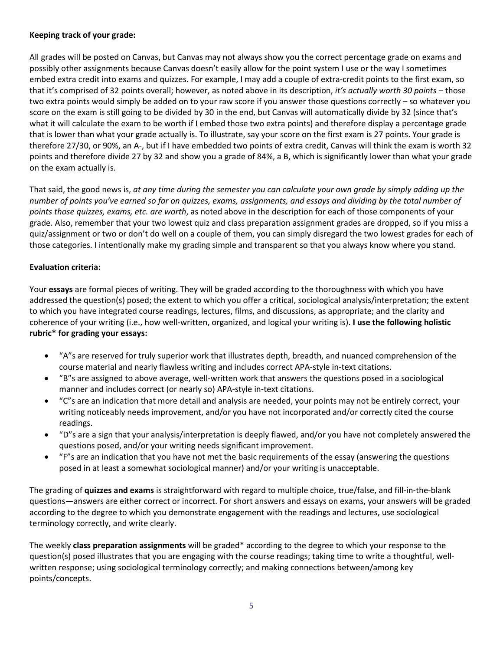### **Keeping track of your grade:**

All grades will be posted on Canvas, but Canvas may not always show you the correct percentage grade on exams and possibly other assignments because Canvas doesn't easily allow for the point system I use or the way I sometimes embed extra credit into exams and quizzes. For example, I may add a couple of extra-credit points to the first exam, so that it's comprised of 32 points overall; however, as noted above in its description, *it's actually worth 30 points* – those two extra points would simply be added on to your raw score if you answer those questions correctly – so whatever you score on the exam is still going to be divided by 30 in the end, but Canvas will automatically divide by 32 (since that's what it will calculate the exam to be worth if I embed those two extra points) and therefore display a percentage grade that is lower than what your grade actually is. To illustrate, say your score on the first exam is 27 points. Your grade is therefore 27/30, or 90%, an A-, but if I have embedded two points of extra credit, Canvas will think the exam is worth 32 points and therefore divide 27 by 32 and show you a grade of 84%, a B, which is significantly lower than what your grade on the exam actually is.

That said, the good news is, *at any time during the semester you can calculate your own grade by simply adding up the number of points you've earned so far on quizzes, exams, assignments, and essays and dividing by the total number of points those quizzes, exams, etc. are worth*, as noted above in the description for each of those components of your grade*.* Also, remember that your two lowest quiz and class preparation assignment grades are dropped, so if you miss a quiz/assignment or two or don't do well on a couple of them, you can simply disregard the two lowest grades for each of those categories. I intentionally make my grading simple and transparent so that you always know where you stand.

### **Evaluation criteria:**

Your **essays** are formal pieces of writing. They will be graded according to the thoroughness with which you have addressed the question(s) posed; the extent to which you offer a critical, sociological analysis/interpretation; the extent to which you have integrated course readings, lectures, films, and discussions, as appropriate; and the clarity and coherence of your writing (i.e., how well-written, organized, and logical your writing is). **I use the following holistic rubric\* for grading your essays:**

- "A"s are reserved for truly superior work that illustrates depth, breadth, and nuanced comprehension of the course material and nearly flawless writing and includes correct APA-style in-text citations.
- "B"s are assigned to above average, well-written work that answers the questions posed in a sociological manner and includes correct (or nearly so) APA-style in-text citations.
- "C"s are an indication that more detail and analysis are needed, your points may not be entirely correct, your writing noticeably needs improvement, and/or you have not incorporated and/or correctly cited the course readings.
- "D"s are a sign that your analysis/interpretation is deeply flawed, and/or you have not completely answered the questions posed, and/or your writing needs significant improvement.
- "F"s are an indication that you have not met the basic requirements of the essay (answering the questions posed in at least a somewhat sociological manner) and/or your writing is unacceptable.

The grading of **quizzes and exams** is straightforward with regard to multiple choice, true/false, and fill-in-the-blank questions—answers are either correct or incorrect. For short answers and essays on exams, your answers will be graded according to the degree to which you demonstrate engagement with the readings and lectures, use sociological terminology correctly, and write clearly.

The weekly **class preparation assignments** will be graded\* according to the degree to which your response to the question(s) posed illustrates that you are engaging with the course readings; taking time to write a thoughtful, wellwritten response; using sociological terminology correctly; and making connections between/among key points/concepts.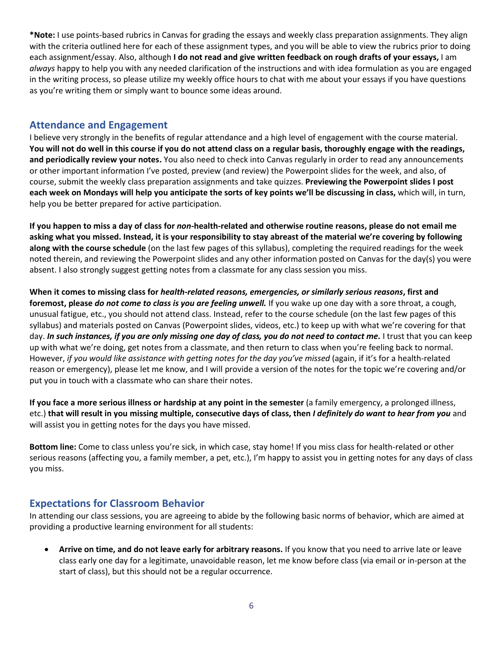**\*Note:** I use points-based rubrics in Canvas for grading the essays and weekly class preparation assignments. They align with the criteria outlined here for each of these assignment types, and you will be able to view the rubrics prior to doing each assignment/essay. Also, although **I do not read and give written feedback on rough drafts of your essays,** I am *always* happy to help you with any needed clarification of the instructions and with idea formulation as you are engaged in the writing process, so please utilize my weekly office hours to chat with me about your essays if you have questions as you're writing them or simply want to bounce some ideas around.

### **Attendance and Engagement**

I believe very strongly in the benefits of regular attendance and a high level of engagement with the course material. **You will not do well in this course if you do not attend class on a regular basis, thoroughly engage with the readings, and periodically review your notes.** You also need to check into Canvas regularly in order to read any announcements or other important information I've posted, preview (and review) the Powerpoint slides for the week, and also, of course, submit the weekly class preparation assignments and take quizzes. **Previewing the Powerpoint slides I post each week on Mondays will help you anticipate the sorts of key points we'll be discussing in class,** which will, in turn, help you be better prepared for active participation.

**If you happen to miss a day of class for** *non***-health-related and otherwise routine reasons, please do not email me asking what you missed. Instead, it is your responsibility to stay abreast of the material we're covering by following along with the course schedule** (on the last few pages of this syllabus), completing the required readings for the week noted therein, and reviewing the Powerpoint slides and any other information posted on Canvas for the day(s) you were absent. I also strongly suggest getting notes from a classmate for any class session you miss.

**When it comes to missing class for** *health-related reasons, emergencies, or similarly serious reasons***, first and foremost, please** *do not come to class is you are feeling unwell.* If you wake up one day with a sore throat, a cough, unusual fatigue, etc., you should not attend class. Instead, refer to the course schedule (on the last few pages of this syllabus) and materials posted on Canvas (Powerpoint slides, videos, etc.) to keep up with what we're covering for that day. *In such instances, if you are only missing one day of class, you do not need to contact me.* I trust that you can keep up with what we're doing, get notes from a classmate, and then return to class when you're feeling back to normal. However, *if you would like assistance with getting notes for the day you've missed* (again, if it's for a health-related reason or emergency), please let me know, and I will provide a version of the notes for the topic we're covering and/or put you in touch with a classmate who can share their notes.

**If you face a more serious illness or hardship at any point in the semester** (a family emergency, a prolonged illness, etc.) **that will result in you missing multiple, consecutive days of class, then** *I definitely do want to hear from you* and will assist you in getting notes for the days you have missed.

**Bottom line:** Come to class unless you're sick, in which case, stay home! If you miss class for health-related or other serious reasons (affecting you, a family member, a pet, etc.), I'm happy to assist you in getting notes for any days of class you miss.

# **Expectations for Classroom Behavior**

In attending our class sessions, you are agreeing to abide by the following basic norms of behavior, which are aimed at providing a productive learning environment for all students:

• **Arrive on time, and do not leave early for arbitrary reasons.** If you know that you need to arrive late or leave class early one day for a legitimate, unavoidable reason, let me know before class (via email or in-person at the start of class), but this should not be a regular occurrence.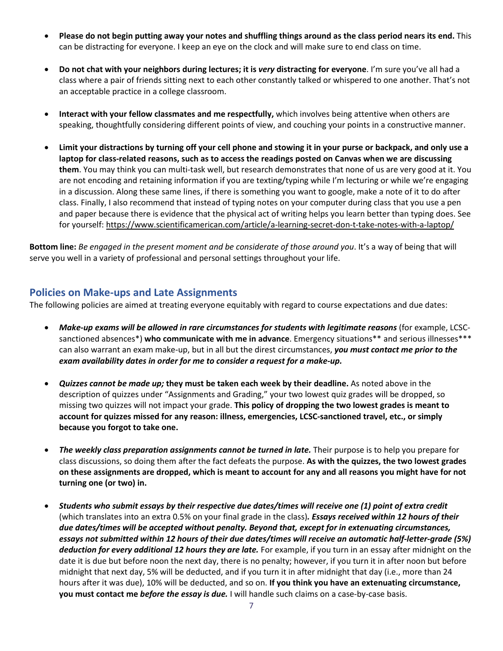- **Please do not begin putting away your notes and shuffling things around as the class period nears its end.** This can be distracting for everyone. I keep an eye on the clock and will make sure to end class on time.
- **Do not chat with your neighbors during lectures; it is** *very* **distracting for everyone**. I'm sure you've all had a class where a pair of friends sitting next to each other constantly talked or whispered to one another. That's not an acceptable practice in a college classroom.
- **Interact with your fellow classmates and me respectfully,** which involves being attentive when others are speaking, thoughtfully considering different points of view, and couching your points in a constructive manner.
- **Limit your distractions by turning off your cell phone and stowing it in your purse or backpack, and only use a laptop for class-related reasons, such as to access the readings posted on Canvas when we are discussing them**. You may think you can multi-task well, but research demonstrates that none of us are very good at it. You are not encoding and retaining information if you are texting/typing while I'm lecturing or while we're engaging in a discussion. Along these same lines, if there is something you want to google, make a note of it to do after class. Finally, I also recommend that instead of typing notes on your computer during class that you use a pen and paper because there is evidence that the physical act of writing helps you learn better than typing does. See for yourself:<https://www.scientificamerican.com/article/a-learning-secret-don-t-take-notes-with-a-laptop/>

**Bottom line:** *Be engaged in the present moment and be considerate of those around you*. It's a way of being that will serve you well in a variety of professional and personal settings throughout your life.

## **Policies on Make-ups and Late Assignments**

The following policies are aimed at treating everyone equitably with regard to course expectations and due dates:

- *Make-up exams will be allowed in rare circumstances for students with legitimate reasons* (for example, LCSCsanctioned absences\*) **who communicate with me in advance**. Emergency situations\*\* and serious illnesses\*\*\* can also warrant an exam make-up, but in all but the direst circumstances, *you must contact me prior to the exam availability dates in order for me to consider a request for a make-up.*
- *Quizzes cannot be made up;* **they must be taken each week by their deadline.** As noted above in the description of quizzes under "Assignments and Grading," your two lowest quiz grades will be dropped, so missing two quizzes will not impact your grade. **This policy of dropping the two lowest grades is meant to account for quizzes missed for any reason: illness, emergencies, LCSC-sanctioned travel, etc., or simply because you forgot to take one.**
- *The weekly class preparation assignments cannot be turned in late.* Their purpose is to help you prepare for class discussions, so doing them after the fact defeats the purpose. **As with the quizzes, the two lowest grades on these assignments are dropped, which is meant to account for any and all reasons you might have for not turning one (or two) in.**
- *Students who submit essays by their respective due dates/times will receive one (1) point of extra credit* (which translates into an extra 0.5% on your final grade in the class)*. Essays received within 12 hours of their due dates/times will be accepted without penalty. Beyond that, except for in extenuating circumstances, essays not submitted within 12 hours of their due dates/times will receive an automatic half-letter-grade (5%) deduction for every additional 12 hours they are late.* For example, if you turn in an essay after midnight on the date it is due but before noon the next day, there is no penalty; however, if you turn it in after noon but before midnight that next day, 5% will be deducted, and if you turn it in after midnight that day (i.e., more than 24 hours after it was due), 10% will be deducted, and so on. **If you think you have an extenuating circumstance, you must contact me** *before the essay is due.* I will handle such claims on a case-by-case basis.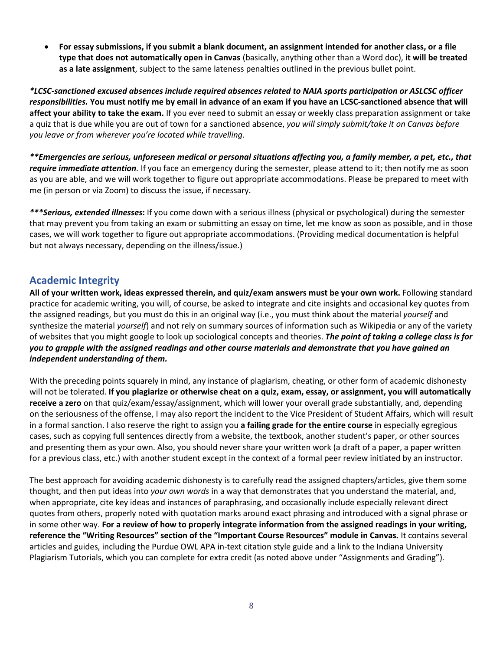• **For essay submissions, if you submit a blank document, an assignment intended for another class, or a file type that does not automatically open in Canvas** (basically, anything other than a Word doc), **it will be treated as a late assignment**, subject to the same lateness penalties outlined in the previous bullet point.

*\*LCSC-sanctioned excused absences include required absences related to NAIA sports participation or ASLCSC officer responsibilities.* **You must notify me by email in advance of an exam if you have an LCSC-sanctioned absence that will affect your ability to take the exam.** If you ever need to submit an essay or weekly class preparation assignment or take a quiz that is due while you are out of town for a sanctioned absence, *you will simply submit/take it on Canvas before you leave or from wherever you're located while travelling.*

*\*\*Emergencies are serious, unforeseen medical or personal situations affecting you, a family member, a pet, etc., that require immediate attention.* If you face an emergency during the semester, please attend to it; then notify me as soon as you are able, and we will work together to figure out appropriate accommodations. Please be prepared to meet with me (in person or via Zoom) to discuss the issue, if necessary.

*\*\*\*Serious, extended illnesses***:** If you come down with a serious illness (physical or psychological) during the semester that may prevent you from taking an exam or submitting an essay on time, let me know as soon as possible, and in those cases, we will work together to figure out appropriate accommodations. (Providing medical documentation is helpful but not always necessary, depending on the illness/issue.)

## **Academic Integrity**

**All of your written work, ideas expressed therein, and quiz/exam answers must be your own work.** Following standard practice for academic writing, you will, of course, be asked to integrate and cite insights and occasional key quotes from the assigned readings, but you must do this in an original way (i.e., you must think about the material *yourself* and synthesize the material *yourself*) and not rely on summary sources of information such as Wikipedia or any of the variety of websites that you might google to look up sociological concepts and theories. *The point of taking a college class is for you to grapple with the assigned readings and other course materials and demonstrate that you have gained an independent understanding of them.*

With the preceding points squarely in mind, any instance of plagiarism, cheating, or other form of academic dishonesty will not be tolerated. **If you plagiarize or otherwise cheat on a quiz, exam, essay, or assignment, you will automatically receive a zero** on that quiz/exam/essay/assignment, which will lower your overall grade substantially, and, depending on the seriousness of the offense, I may also report the incident to the Vice President of Student Affairs, which will result in a formal sanction. I also reserve the right to assign you **a failing grade for the entire course** in especially egregious cases, such as copying full sentences directly from a website, the textbook, another student's paper, or other sources and presenting them as your own. Also, you should never share your written work (a draft of a paper, a paper written for a previous class, etc.) with another student except in the context of a formal peer review initiated by an instructor.

The best approach for avoiding academic dishonesty is to carefully read the assigned chapters/articles, give them some thought, and then put ideas into *your own words* in a way that demonstrates that you understand the material, and, when appropriate, cite key ideas and instances of paraphrasing, and occasionally include especially relevant direct quotes from others, properly noted with quotation marks around exact phrasing and introduced with a signal phrase or in some other way. **For a review of how to properly integrate information from the assigned readings in your writing, reference the "Writing Resources" section of the "Important Course Resources" module in Canvas.** It contains several articles and guides, including the Purdue OWL APA in-text citation style guide and a link to the Indiana University Plagiarism Tutorials, which you can complete for extra credit (as noted above under "Assignments and Grading").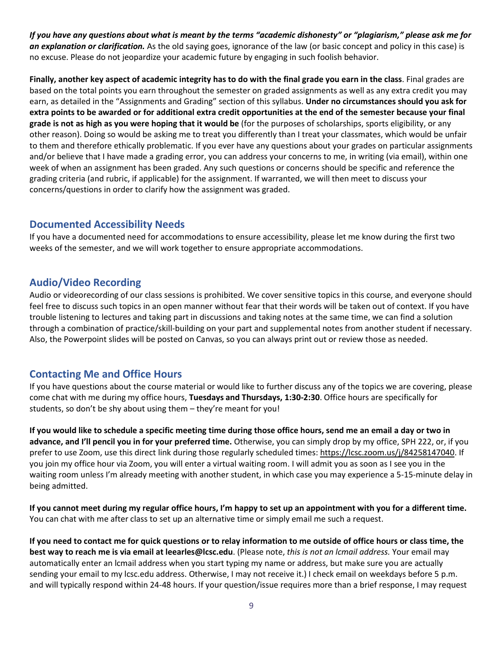*If you have any questions about what is meant by the terms "academic dishonesty" or "plagiarism," please ask me for an explanation or clarification.* As the old saying goes, ignorance of the law (or basic concept and policy in this case) is no excuse. Please do not jeopardize your academic future by engaging in such foolish behavior.

**Finally, another key aspect of academic integrity has to do with the final grade you earn in the class**. Final grades are based on the total points you earn throughout the semester on graded assignments as well as any extra credit you may earn, as detailed in the "Assignments and Grading" section of this syllabus. **Under no circumstances should you ask for extra points to be awarded or for additional extra credit opportunities at the end of the semester because your final grade is not as high as you were hoping that it would be** (for the purposes of scholarships, sports eligibility, or any other reason). Doing so would be asking me to treat you differently than I treat your classmates, which would be unfair to them and therefore ethically problematic. If you ever have any questions about your grades on particular assignments and/or believe that I have made a grading error, you can address your concerns to me, in writing (via email), within one week of when an assignment has been graded. Any such questions or concerns should be specific and reference the grading criteria (and rubric, if applicable) for the assignment. If warranted, we will then meet to discuss your concerns/questions in order to clarify how the assignment was graded.

### **Documented Accessibility Needs**

If you have a documented need for accommodations to ensure accessibility, please let me know during the first two weeks of the semester, and we will work together to ensure appropriate accommodations.

# **Audio/Video Recording**

Audio or videorecording of our class sessions is prohibited. We cover sensitive topics in this course, and everyone should feel free to discuss such topics in an open manner without fear that their words will be taken out of context. If you have trouble listening to lectures and taking part in discussions and taking notes at the same time, we can find a solution through a combination of practice/skill-building on your part and supplemental notes from another student if necessary. Also, the Powerpoint slides will be posted on Canvas, so you can always print out or review those as needed.

# **Contacting Me and Office Hours**

If you have questions about the course material or would like to further discuss any of the topics we are covering, please come chat with me during my office hours, **Tuesdays and Thursdays, 1:30-2:30**. Office hours are specifically for students, so don't be shy about using them – they're meant for you!

**If you would like to schedule a specific meeting time during those office hours, send me an email a day or two in advance, and I'll pencil you in for your preferred time.** Otherwise, you can simply drop by my office, SPH 222, or, if you prefer to use Zoom, use this direct link during those regularly scheduled times[: https://lcsc.zoom.us/j/84258147040.](https://lcsc.zoom.us/j/84258147040) If you join my office hour via Zoom, you will enter a virtual waiting room. I will admit you as soon as I see you in the waiting room unless I'm already meeting with another student, in which case you may experience a 5-15-minute delay in being admitted.

**If you cannot meet during my regular office hours, I'm happy to set up an appointment with you for a different time.** You can chat with me after class to set up an alternative time or simply email me such a request.

**If you need to contact me for quick questions or to relay information to me outside of office hours or class time, the best way to reach me is via email at leearles@lcsc.edu**. (Please note, *this is not an lcmail address.* Your email may automatically enter an lcmail address when you start typing my name or address, but make sure you are actually sending your email to my lcsc.edu address. Otherwise, I may not receive it.) I check email on weekdays before 5 p.m. and will typically respond within 24-48 hours. If your question/issue requires more than a brief response, I may request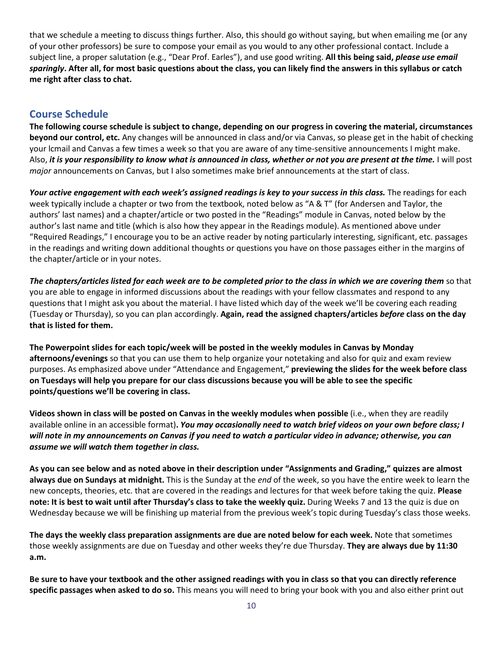that we schedule a meeting to discuss things further. Also, this should go without saying, but when emailing me (or any of your other professors) be sure to compose your email as you would to any other professional contact. Include a subject line, a proper salutation (e.g., "Dear Prof. Earles"), and use good writing. **All this being said,** *please use email sparingly***. After all, for most basic questions about the class, you can likely find the answers in this syllabus or catch me right after class to chat.**

# **Course Schedule**

**The following course schedule is subject to change, depending on our progress in covering the material, circumstances beyond our control, etc.** Any changes will be announced in class and/or via Canvas, so please get in the habit of checking your lcmail and Canvas a few times a week so that you are aware of any time-sensitive announcements I might make. Also, *it is your responsibility to know what is announced in class, whether or not you are present at the time.* I will post *major* announcements on Canvas, but I also sometimes make brief announcements at the start of class.

*Your active engagement with each week's assigned readings is key to your success in this class.* The readings for each week typically include a chapter or two from the textbook, noted below as "A & T" (for Andersen and Taylor, the authors' last names) and a chapter/article or two posted in the "Readings" module in Canvas, noted below by the author's last name and title (which is also how they appear in the Readings module). As mentioned above under "Required Readings," I encourage you to be an active reader by noting particularly interesting, significant, etc. passages in the readings and writing down additional thoughts or questions you have on those passages either in the margins of the chapter/article or in your notes.

*The chapters/articles listed for each week are to be completed prior to the class in which we are covering them* so that you are able to engage in informed discussions about the readings with your fellow classmates and respond to any questions that I might ask you about the material. I have listed which day of the week we'll be covering each reading (Tuesday or Thursday), so you can plan accordingly. **Again, read the assigned chapters/articles** *before* **class on the day that is listed for them.**

**The Powerpoint slides for each topic/week will be posted in the weekly modules in Canvas by Monday afternoons/evenings** so that you can use them to help organize your notetaking and also for quiz and exam review purposes. As emphasized above under "Attendance and Engagement," **previewing the slides for the week before class on Tuesdays will help you prepare for our class discussions because you will be able to see the specific points/questions we'll be covering in class.**

**Videos shown in class will be posted on Canvas in the weekly modules when possible** (i.e., when they are readily available online in an accessible format)**.** *You may occasionally need to watch brief videos on your own before class; I will note in my announcements on Canvas if you need to watch a particular video in advance; otherwise, you can assume we will watch them together in class.*

**As you can see below and as noted above in their description under "Assignments and Grading," quizzes are almost always due on Sundays at midnight.** This is the Sunday at the *end* of the week, so you have the entire week to learn the new concepts, theories, etc. that are covered in the readings and lectures for that week before taking the quiz. **Please note: It is best to wait until after Thursday's class to take the weekly quiz.** During Weeks 7 and 13 the quiz is due on Wednesday because we will be finishing up material from the previous week's topic during Tuesday's class those weeks.

**The days the weekly class preparation assignments are due are noted below for each week.** Note that sometimes those weekly assignments are due on Tuesday and other weeks they're due Thursday. **They are always due by 11:30 a.m.**

**Be sure to have your textbook and the other assigned readings with you in class so that you can directly reference specific passages when asked to do so.** This means you will need to bring your book with you and also either print out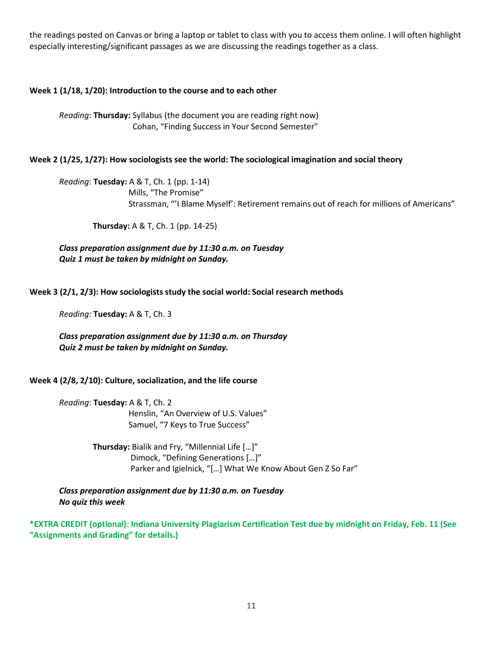the readings posted on Canvas or bring a laptop or tablet to class with you to access them online. I will often highlight especially interesting/significant passages as we are discussing the readings together as a class.

### **Week 1 (1/18, 1/20): Introduction to the course and to each other**

*Reading*: **Thursday:** Syllabus (the document you are reading right now) Cohan, "Finding Success in Your Second Semester"

#### **Week 2 (1/25, 1/27): How sociologists see the world: The sociological imagination and social theory**

*Reading*: **Tuesday:** A & T, Ch. 1 (pp. 1-14) Mills, "The Promise" Strassman, "'I Blame Myself': Retirement remains out of reach for millions of Americans"

**Thursday:** A & T, Ch. 1 (pp. 14-25)

*Class preparation assignment due by 11:30 a.m. on Tuesday Quiz 1 must be taken by midnight on Sunday.* 

**Week 3 (2/1, 2/3): How sociologists study the social world: Social research methods**

*Reading:* **Tuesday:** A & T, Ch. 3

*Class preparation assignment due by 11:30 a.m. on Thursday Quiz 2 must be taken by midnight on Sunday.*

#### **Week 4 (2/8, 2/10): Culture, socialization, and the life course**

*Reading*: **Tuesday:** A & T, Ch. 2 Henslin, "An Overview of U.S. Values" Samuel, "7 Keys to True Success"

> **Thursday:** Bialik and Fry, "Millennial Life […]" Dimock, "Defining Generations […]" Parker and Igielnick, "[…] What We Know About Gen Z So Far"

*Class preparation assignment due by 11:30 a.m. on Tuesday No quiz this week* 

**\*EXTRA CREDIT (optional): Indiana University Plagiarism Certification Test due by midnight on Friday, Feb. 11 (See "Assignments and Grading" for details.)**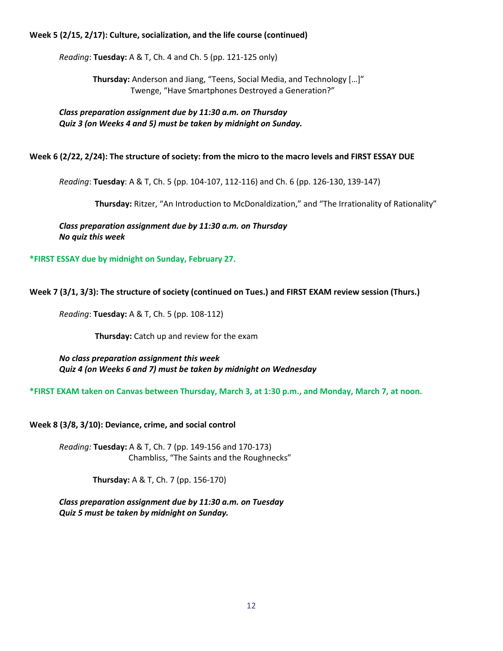#### **Week 5 (2/15, 2/17): Culture, socialization, and the life course (continued)**

*Reading*: **Tuesday:** A & T, Ch. 4 and Ch. 5 (pp. 121-125 only)

 **Thursday:** Anderson and Jiang, "Teens, Social Media, and Technology […]" Twenge, "Have Smartphones Destroyed a Generation?"

*Class preparation assignment due by 11:30 a.m. on Thursday Quiz 3 (on Weeks 4 and 5) must be taken by midnight on Sunday.*

#### **Week 6 (2/22, 2/24): The structure of society: from the micro to the macro levels and FIRST ESSAY DUE**

*Reading*: **Tuesday**: A & T, Ch. 5 (pp. 104-107, 112-116) and Ch. 6 (pp. 126-130, 139-147)

**Thursday:** Ritzer, "An Introduction to McDonaldization," and "The Irrationality of Rationality"

*Class preparation assignment due by 11:30 a.m. on Thursday No quiz this week*

**\*FIRST ESSAY due by midnight on Sunday, February 27.**

#### **Week 7 (3/1, 3/3): The structure of society (continued on Tues.) and FIRST EXAM review session (Thurs.)**

*Reading*: **Tuesday:** A & T, Ch. 5 (pp. 108-112)

 **Thursday:** Catch up and review for the exam

*No class preparation assignment this week Quiz 4 (on Weeks 6 and 7) must be taken by midnight on Wednesday*

**\*FIRST EXAM taken on Canvas between Thursday, March 3, at 1:30 p.m., and Monday, March 7, at noon.**

**Week 8 (3/8, 3/10): Deviance, crime, and social control**

*Reading:* **Tuesday:** A & T, Ch. 7 (pp. 149-156 and 170-173) Chambliss, "The Saints and the Roughnecks"

 **Thursday:** A & T, Ch. 7 (pp. 156-170)

*Class preparation assignment due by 11:30 a.m. on Tuesday Quiz 5 must be taken by midnight on Sunday.*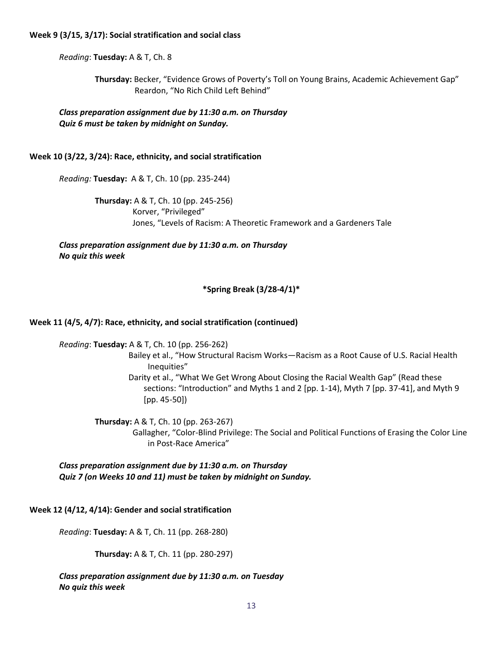#### **Week 9 (3/15, 3/17): Social stratification and social class**

*Reading*: **Tuesday:** A & T, Ch. 8

 **Thursday:** Becker, "Evidence Grows of Poverty's Toll on Young Brains, Academic Achievement Gap" Reardon, "No Rich Child Left Behind"

*Class preparation assignment due by 11:30 a.m. on Thursday Quiz 6 must be taken by midnight on Sunday.*

#### **Week 10 (3/22, 3/24): Race, ethnicity, and social stratification**

*Reading:* **Tuesday:** A & T, Ch. 10 (pp. 235-244)

 **Thursday:** A & T, Ch. 10 (pp. 245-256) Korver, "Privileged" Jones, "Levels of Racism: A Theoretic Framework and a Gardeners Tale

*Class preparation assignment due by 11:30 a.m. on Thursday No quiz this week*

#### **\*Spring Break (3/28-4/1)\***

#### **Week 11 (4/5, 4/7): Race, ethnicity, and social stratification (continued)**

*Reading*: **Tuesday:** A & T, Ch. 10 (pp. 256-262)

 Bailey et al., "How Structural Racism Works—Racism as a Root Cause of U.S. Racial Health Inequities"

 Darity et al., "What We Get Wrong About Closing the Racial Wealth Gap" (Read these sections: "Introduction" and Myths 1 and 2 [pp. 1-14), Myth 7 [pp. 37-41], and Myth 9 [pp. 45-50])

**Thursday:** A & T, Ch. 10 (pp. 263-267) Gallagher, "Color-Blind Privilege: The Social and Political Functions of Erasing the Color Line in Post-Race America"

*Class preparation assignment due by 11:30 a.m. on Thursday Quiz 7 (on Weeks 10 and 11) must be taken by midnight on Sunday.*

#### **Week 12 (4/12, 4/14): Gender and social stratification**

*Reading*: **Tuesday:** A & T, Ch. 11 (pp. 268-280)

**Thursday:** A & T, Ch. 11 (pp. 280-297)

*Class preparation assignment due by 11:30 a.m. on Tuesday No quiz this week*